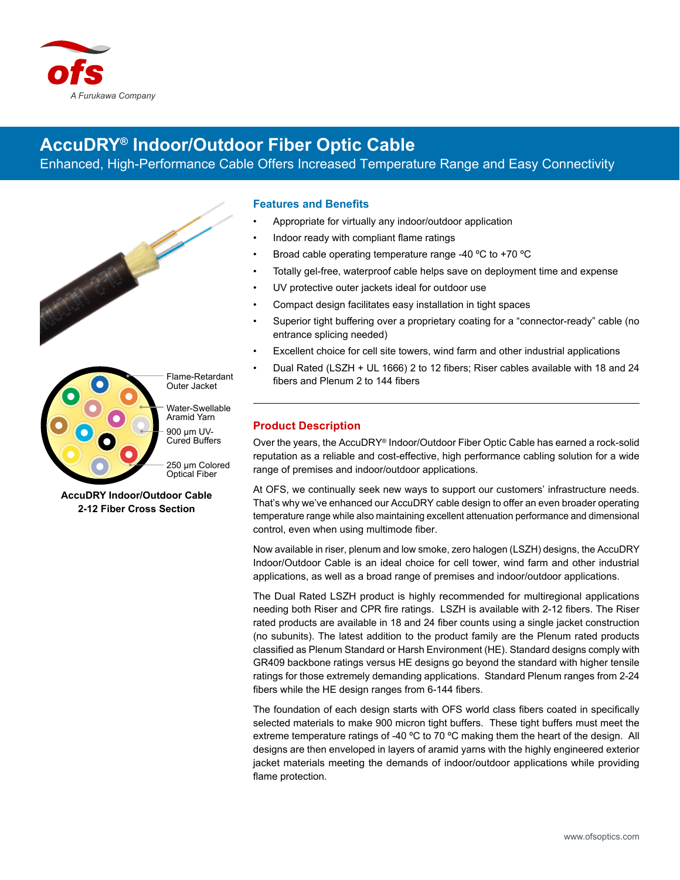

# **AccuDRY® Indoor/Outdoor Fiber Optic Cable**

Enhanced, High-Performance Cable Offers Increased Temperature Range and Easy Connectivity





Flame-Retardant Outer Jacket

Water-Swellable Aramid Yarn 900 µm UV-Cured Buffers

250 µm Colored Optical Fiber

**AccuDRY Indoor/Outdoor Cable 2-12 Fiber Cross Section**

## **Features and Benefits**

- Appropriate for virtually any indoor/outdoor application
- Indoor ready with compliant flame ratings
- Broad cable operating temperature range -40 ºC to +70 ºC
- Totally gel-free, waterproof cable helps save on deployment time and expense
- UV protective outer jackets ideal for outdoor use
- Compact design facilitates easy installation in tight spaces
- Superior tight buffering over a proprietary coating for a "connector-ready" cable (no entrance splicing needed)
- Excellent choice for cell site towers, wind farm and other industrial applications
- Dual Rated (LSZH + UL 1666) 2 to 12 fibers; Riser cables available with 18 and 24 fibers and Plenum 2 to 144 fibers

# **Product Description**

Over the years, the AccuDRY® Indoor/Outdoor Fiber Optic Cable has earned a rock-solid reputation as a reliable and cost-effective, high performance cabling solution for a wide range of premises and indoor/outdoor applications.

At OFS, we continually seek new ways to support our customers' infrastructure needs. That's why we've enhanced our AccuDRY cable design to offer an even broader operating temperature range while also maintaining excellent attenuation performance and dimensional control, even when using multimode fiber.

Now available in riser, plenum and low smoke, zero halogen (LSZH) designs, the AccuDRY Indoor/Outdoor Cable is an ideal choice for cell tower, wind farm and other industrial applications, as well as a broad range of premises and indoor/outdoor applications.

The Dual Rated LSZH product is highly recommended for multiregional applications needing both Riser and CPR fire ratings. LSZH is available with 2-12 fibers. The Riser rated products are available in 18 and 24 fiber counts using a single jacket construction (no subunits). The latest addition to the product family are the Plenum rated products classified as Plenum Standard or Harsh Environment (HE). Standard designs comply with GR409 backbone ratings versus HE designs go beyond the standard with higher tensile ratings for those extremely demanding applications. Standard Plenum ranges from 2-24 fibers while the HE design ranges from 6-144 fibers.

The foundation of each design starts with OFS world class fibers coated in specifically selected materials to make 900 micron tight buffers. These tight buffers must meet the extreme temperature ratings of -40  $\degree$ C to 70  $\degree$ C making them the heart of the design. All designs are then enveloped in layers of aramid yarns with the highly engineered exterior jacket materials meeting the demands of indoor/outdoor applications while providing flame protection.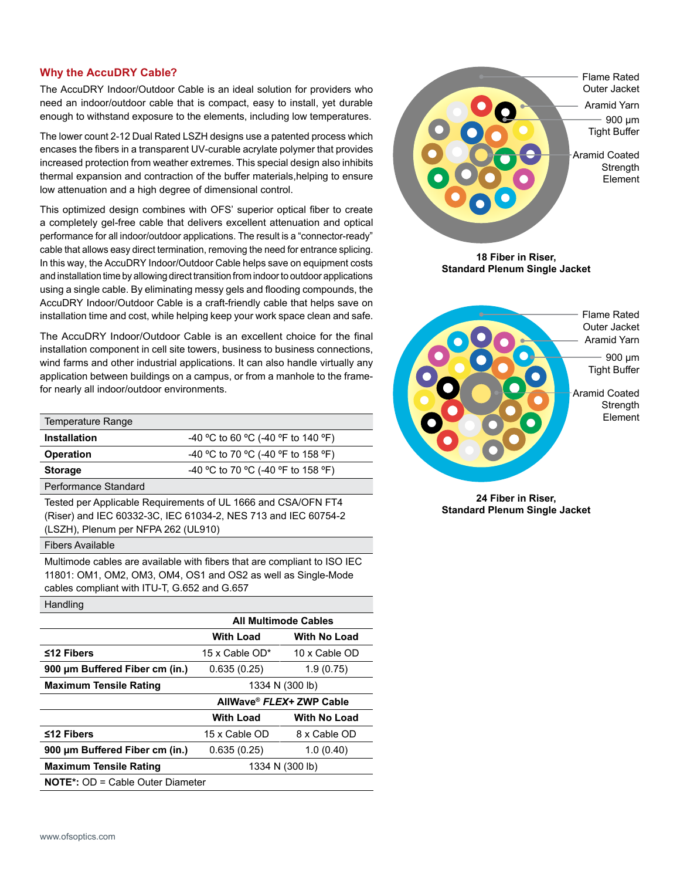## **Why the AccuDRY Cable?**

The AccuDRY Indoor/Outdoor Cable is an ideal solution for providers who need an indoor/outdoor cable that is compact, easy to install, yet durable enough to withstand exposure to the elements, including low temperatures.

The lower count 2-12 Dual Rated LSZH designs use a patented process which encases the fibers in a transparent UV-curable acrylate polymer that provides increased protection from weather extremes. This special design also inhibits thermal expansion and contraction of the buffer materials,helping to ensure low attenuation and a high degree of dimensional control.

This optimized design combines with OFS' superior optical fiber to create a completely gel-free cable that delivers excellent attenuation and optical performance for all indoor/outdoor applications. The result is a "connector-ready" cable that allows easy direct termination, removing the need for entrance splicing. In this way, the AccuDRY Indoor/Outdoor Cable helps save on equipment costs and installation time by allowing direct transition from indoor to outdoor applications using a single cable. By eliminating messy gels and flooding compounds, the AccuDRY Indoor/Outdoor Cable is a craft-friendly cable that helps save on installation time and cost, while helping keep your work space clean and safe.

The AccuDRY Indoor/Outdoor Cable is an excellent choice for the final installation component in cell site towers, business to business connections, wind farms and other industrial applications. It can also handle virtually any application between buildings on a campus, or from a manhole to the framefor nearly all indoor/outdoor environments.

| Temperature Range                         |                                    |
|-------------------------------------------|------------------------------------|
| <b>Installation</b>                       | -40 °C to 60 °C (-40 °F to 140 °F) |
| <b>Operation</b>                          | -40 °C to 70 °C (-40 °F to 158 °F) |
| <b>Storage</b>                            | -40 °C to 70 °C (-40 °F to 158 °F) |
| $\sim$ $\sim$ $\sim$ $\sim$ $\sim$ $\sim$ |                                    |

Performance Standard

Tested per Applicable Requirements of UL 1666 and CSA/OFN FT4 (Riser) and IEC 60332-3C, IEC 61034-2, NES 713 and IEC 60754-2 (LSZH), Plenum per NFPA 262 (UL910)

#### Fibers Available

Handling

Multimode cables are available with fibers that are compliant to ISO IEC 11801: OM1, OM2, OM3, OM4, OS1 and OS2 as well as Single-Mode cables compliant with ITU-T, G.652 and G.657

| ı ıanumu                                |                   |                             |  |
|-----------------------------------------|-------------------|-----------------------------|--|
|                                         |                   | <b>All Multimode Cables</b> |  |
|                                         | <b>With Load</b>  | <b>With No Load</b>         |  |
| $≤12$ Fibers                            | 15 x Cable $OD^*$ | 10 x Cable OD               |  |
| 900 um Buffered Fiber cm (in.)          | 0.635(0.25)       | 1.9(0.75)                   |  |
| <b>Maximum Tensile Rating</b>           |                   | 1334 N (300 lb)             |  |
|                                         |                   | AllWave® FLEX+ ZWP Cable    |  |
|                                         | <b>With Load</b>  | <b>With No Load</b>         |  |
| $≤12$ Fibers                            | 15 x Cable OD     | 8 x Cable OD                |  |
| 900 µm Buffered Fiber cm (in.)          | 0.635(0.25)       | 1.0(0.40)                   |  |
| <b>Maximum Tensile Rating</b>           | 1334 N (300 lb)   |                             |  |
| <b>NOTE*:</b> OD = Cable Outer Diameter |                   |                             |  |
|                                         |                   |                             |  |



Flame Rated Outer Jacket Aramid Yarn 900 µm Tight Buffer

> Aramid Coated **Strength** Element

**24 Fiber in Riser, Standard Plenum Single Jacket**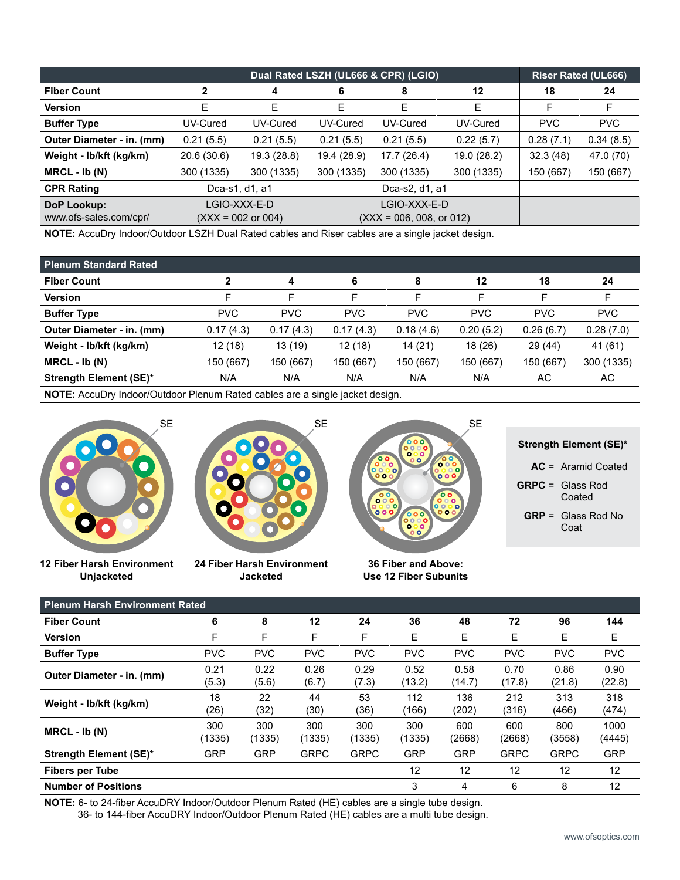|                                                                                                  |                |                               | Dual Rated LSZH (UL666 & CPR) (LGIO) | <b>Riser Rated (UL666)</b> |           |            |            |
|--------------------------------------------------------------------------------------------------|----------------|-------------------------------|--------------------------------------|----------------------------|-----------|------------|------------|
| <b>Fiber Count</b>                                                                               | 2              | 4                             | 6                                    | 8                          | 12        | 18         | 24         |
| <b>Version</b>                                                                                   | Е              | Е                             | Е                                    | E                          | E         | F          | F          |
| <b>Buffer Type</b>                                                                               | UV-Cured       | UV-Cured                      | UV-Cured                             | UV-Cured                   | UV-Cured  | <b>PVC</b> | <b>PVC</b> |
| Outer Diameter - in. (mm)                                                                        | 0.21(5.5)      | 0.21(5.5)                     | 0.21(5.5)                            | 0.21(5.5)                  | 0.28(7.1) | 0.34(8.5)  |            |
| Weight - lb/kft (kg/km)                                                                          | 20.6 (30.6)    | 19.3 (28.8)                   | 19.4 (28.9)                          | 17.7 (26.4)                | 32.3(48)  | 47.0 (70)  |            |
| $MRCL - Ib (N)$                                                                                  | 300 (1335)     | 300 (1335)                    | 300 (1335)                           | 300 (1335)                 | 150 (667) | 150 (667)  |            |
| <b>CPR Rating</b>                                                                                | Dca-s1, d1, a1 |                               |                                      | Dca-s2, d1, a1             |           |            |            |
| DoP Lookup:                                                                                      |                | LGIO-XXX-E-D                  |                                      | LGIO-XXX-E-D               |           |            |            |
| www.ofs-sales.com/cpr/                                                                           |                | $(XXX = 002 \text{ or } 004)$ |                                      | $(XXX = 006, 008, or 012)$ |           |            |            |
| NOTE: AccuDry Indoor/Outdoor LSZH Dual Rated cables and Riser cables are a single jacket design. |                |                               |                                      |                            |           |            |            |

| <b>Plenum Standard Rated</b>  |            |            |            |            |            |            |            |
|-------------------------------|------------|------------|------------|------------|------------|------------|------------|
| <b>Fiber Count</b>            |            | 4          | 6          | 8          | 12         | 18         | 24         |
| <b>Version</b>                | F          | F          | F          |            | F          | F          | F          |
| <b>Buffer Type</b>            | <b>PVC</b> | <b>PVC</b> | <b>PVC</b> | <b>PVC</b> | <b>PVC</b> | <b>PVC</b> | <b>PVC</b> |
| Outer Diameter - in. (mm)     | 0.17(4.3)  | 0.17(4.3)  | 0.17(4.3)  | 0.18(4.6)  | 0.20(5.2)  | 0.26(6.7)  | 0.28(7.0)  |
| Weight - Ib/kft (kg/km)       | 12 (18)    | 13 (19)    | 12 (18)    | 14 (21)    | 18(26)     | 29(44)     | 41 (61)    |
| $MRCL - Ib (N)$               | 150 (667)  | 150 (667)  | 150 (667)  | 150 (667)  | 150 (667)  | 150 (667)  | 300 (1335) |
| <b>Strength Element (SE)*</b> | N/A        | N/A        | N/A        | N/A        | N/A        | АC         | AC         |
|                               |            |            |            |            |            |            |            |

**NOTE:** AccuDry Indoor/Outdoor Plenum Rated cables are a single jacket design.



**12 Fiber Harsh Environment Unjacketed**



**24 Fiber Harsh Environment Jacketed**



**36 Fiber and Above: Use 12 Fiber Subunits**

| Strength Element (SE)* |
|------------------------|
|------------------------|

**AC** = Aramid Coated

- **GRPC** = Glass Rod Coated
	- **GRP** = Glass Rod No Coat

| <b>Plenum Harsh Environment Rated</b>                                 |               |               |               |               |                |                |                |                |                |
|-----------------------------------------------------------------------|---------------|---------------|---------------|---------------|----------------|----------------|----------------|----------------|----------------|
| <b>Fiber Count</b>                                                    | 6             | 8             | 12            | 24            | 36             | 48             | 72             | 96             | 144            |
| <b>Version</b>                                                        | F             | F             | F             | F             | E              | Е              | Е              | Е              | Е              |
| <b>Buffer Type</b>                                                    | <b>PVC</b>    | <b>PVC</b>    | <b>PVC</b>    | <b>PVC</b>    | <b>PVC</b>     | <b>PVC</b>     | <b>PVC</b>     | <b>PVC</b>     | <b>PVC</b>     |
| Outer Diameter - in. (mm)                                             | 0.21<br>(5.3) | 0.22<br>(5.6) | 0.26<br>(6.7) | 0.29<br>(7.3) | 0.52<br>(13.2) | 0.58<br>(14.7) | 0.70<br>(17.8) | 0.86<br>(21.8) | 0.90<br>(22.8) |
| Weight - lb/kft (kg/km)                                               | 18<br>(26)    | 22<br>(32)    | 44<br>(30)    | 53<br>(36)    | 112<br>(166)   | 136<br>(202)   | 212<br>(316)   | 313<br>(466)   | 318<br>(474)   |
| $MRCL - Ib (N)$                                                       | 300<br>(1335) | 300<br>(1335) | 300<br>(1335) | 300<br>(1335) | 300<br>(1335)  | 600<br>(2668)  | 600<br>(2668)  | 800<br>(3558)  | 1000<br>(4445) |
| <b>Strength Element (SE)*</b>                                         | <b>GRP</b>    | <b>GRP</b>    | <b>GRPC</b>   | <b>GRPC</b>   | <b>GRP</b>     | <b>GRP</b>     | <b>GRPC</b>    | <b>GRPC</b>    | <b>GRP</b>     |
| <b>Fibers per Tube</b>                                                |               |               |               |               | 12             | 12             | 12             | 12             | 12             |
| <b>Number of Positions</b>                                            |               |               |               |               | 3              | 4              | 6              | 8              | 12             |
| NATE A LAIRE LA DONITIC LONDER DE LA PIEL JELECO DE L'INTERNATIONALE. |               |               |               |               |                |                |                |                |                |

**NOTE:** 6- to 24-fiber AccuDRY Indoor/Outdoor Plenum Rated (HE) cables are a single tube design. 36- to 144-fiber AccuDRY Indoor/Outdoor Plenum Rated (HE) cables are a multi tube design.